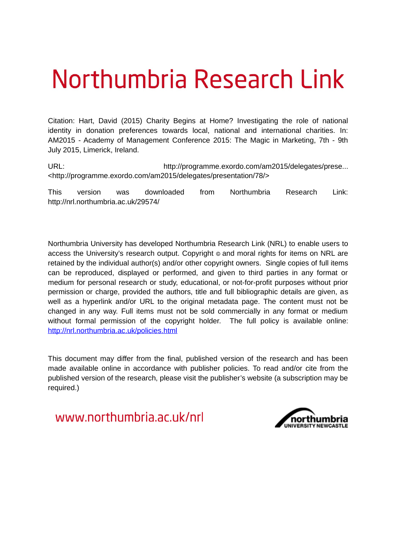# Northumbria Research Link

Citation: Hart, David (2015) Charity Begins at Home? Investigating the role of national identity in donation preferences towards local, national and international charities. In: AM2015 - Academy of Management Conference 2015: The Magic in Marketing, 7th - 9th July 2015, Limerick, Ireland.

URL: http://programme.exordo.com/am2015/delegates/prese... <http://programme.exordo.com/am2015/delegates/presentation/78/>

This version was downloaded from Northumbria Research Link: http://nrl.northumbria.ac.uk/29574/

Northumbria University has developed Northumbria Research Link (NRL) to enable users to access the University's research output. Copyright  $\circ$  and moral rights for items on NRL are retained by the individual author(s) and/or other copyright owners. Single copies of full items can be reproduced, displayed or performed, and given to third parties in any format or medium for personal research or study, educational, or not-for-profit purposes without prior permission or charge, provided the authors, title and full bibliographic details are given, as well as a hyperlink and/or URL to the original metadata page. The content must not be changed in any way. Full items must not be sold commercially in any format or medium without formal permission of the copyright holder. The full policy is available online: <http://nrl.northumbria.ac.uk/policies.html>

This document may differ from the final, published version of the research and has been made available online in accordance with publisher policies. To read and/or cite from the published version of the research, please visit the publisher's website (a subscription may be required.)

www.northumbria.ac.uk/nrl

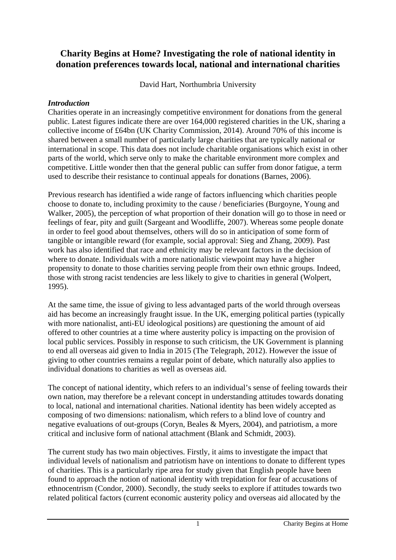# **Charity Begins at Home? Investigating the role of national identity in donation preferences towards local, national and international charities**

David Hart, Northumbria University

#### *Introduction*

Charities operate in an increasingly competitive environment for donations from the general public. Latest figures indicate there are over 164,000 registered charities in the UK, sharing a collective income of £64bn (UK Charity Commission, 2014). Around 70% of this income is shared between a small number of particularly large charities that are typically national or international in scope. This data does not include charitable organisations which exist in other parts of the world, which serve only to make the charitable environment more complex and competitive. Little wonder then that the general public can suffer from donor fatigue, a term used to describe their resistance to continual appeals for donations (Barnes, 2006).

Previous research has identified a wide range of factors influencing which charities people choose to donate to, including proximity to the cause / beneficiaries (Burgoyne, Young and Walker, 2005), the perception of what proportion of their donation will go to those in need or feelings of fear, pity and guilt (Sargeant and Woodliffe, 2007). Whereas some people donate in order to feel good about themselves, others will do so in anticipation of some form of tangible or intangible reward (for example, social approval: Sieg and Zhang, 2009). Past work has also identified that race and ethnicity may be relevant factors in the decision of where to donate. Individuals with a more nationalistic viewpoint may have a higher propensity to donate to those charities serving people from their own ethnic groups. Indeed, those with strong racist tendencies are less likely to give to charities in general (Wolpert, 1995).

At the same time, the issue of giving to less advantaged parts of the world through overseas aid has become an increasingly fraught issue. In the UK, emerging political parties (typically with more nationalist, anti-EU ideological positions) are questioning the amount of aid offered to other countries at a time where austerity policy is impacting on the provision of local public services. Possibly in response to such criticism, the UK Government is planning to end all overseas aid given to India in 2015 (The Telegraph, 2012). However the issue of giving to other countries remains a regular point of debate, which naturally also applies to individual donations to charities as well as overseas aid.

The concept of national identity, which refers to an individual's sense of feeling towards their own nation, may therefore be a relevant concept in understanding attitudes towards donating to local, national and international charities. National identity has been widely accepted as composing of two dimensions: nationalism, which refers to a blind love of country and negative evaluations of out-groups (Coryn, Beales & Myers, 2004), and patriotism, a more critical and inclusive form of national attachment (Blank and Schmidt, 2003).

The current study has two main objectives. Firstly, it aims to investigate the impact that individual levels of nationalism and patriotism have on intentions to donate to different types of charities. This is a particularly ripe area for study given that English people have been found to approach the notion of national identity with trepidation for fear of accusations of ethnocentrism (Condor, 2000). Secondly, the study seeks to explore if attitudes towards two related political factors (current economic austerity policy and overseas aid allocated by the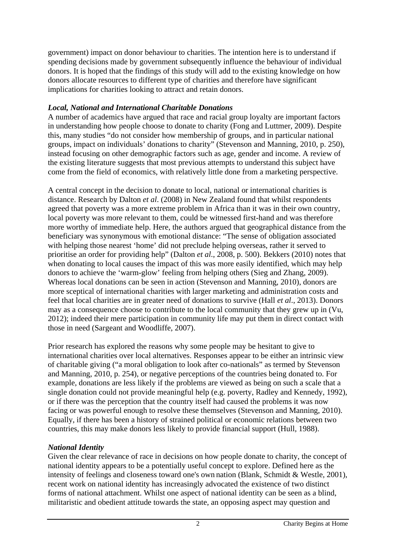government) impact on donor behaviour to charities. The intention here is to understand if spending decisions made by government subsequently influence the behaviour of individual donors. It is hoped that the findings of this study will add to the existing knowledge on how donors allocate resources to different type of charities and therefore have significant implications for charities looking to attract and retain donors.

#### *Local, National and International Charitable Donations*

A number of academics have argued that race and racial group loyalty are important factors in understanding how people choose to donate to charity (Fong and Luttmer, 2009). Despite this, many studies "do not consider how membership of groups, and in particular national groups, impact on individuals' donations to charity" (Stevenson and Manning, 2010, p. 250), instead focusing on other demographic factors such as age, gender and income. A review of the existing literature suggests that most previous attempts to understand this subject have come from the field of economics, with relatively little done from a marketing perspective.

A central concept in the decision to donate to local, national or international charities is distance. Research by Dalton *et al*. (2008) in New Zealand found that whilst respondents agreed that poverty was a more extreme problem in Africa than it was in their own country, local poverty was more relevant to them, could be witnessed first-hand and was therefore more worthy of immediate help. Here, the authors argued that geographical distance from the beneficiary was synonymous with emotional distance: "The sense of obligation associated with helping those nearest 'home' did not preclude helping overseas, rather it served to prioritise an order for providing help" (Dalton *et al*., 2008, p. 500). Bekkers (2010) notes that when donating to local causes the impact of this was more easily identified, which may help donors to achieve the 'warm-glow' feeling from helping others (Sieg and Zhang, 2009). Whereas local donations can be seen in action (Stevenson and Manning, 2010), donors are more sceptical of international charities with larger marketing and administration costs and feel that local charities are in greater need of donations to survive (Hall *et al*., 2013). Donors may as a consequence choose to contribute to the local community that they grew up in (Vu, 2012); indeed their mere participation in community life may put them in direct contact with those in need (Sargeant and Woodliffe, 2007).

Prior research has explored the reasons why some people may be hesitant to give to international charities over local alternatives. Responses appear to be either an intrinsic view of charitable giving ("a moral obligation to look after co-nationals" as termed by Stevenson and Manning, 2010, p. 254), or negative perceptions of the countries being donated to. For example, donations are less likely if the problems are viewed as being on such a scale that a single donation could not provide meaningful help (e.g. poverty, Radley and Kennedy, 1992), or if there was the perception that the country itself had caused the problems it was now facing or was powerful enough to resolve these themselves (Stevenson and Manning, 2010). Equally, if there has been a history of strained political or economic relations between two countries, this may make donors less likely to provide financial support (Hull, 1988).

### *National Identity*

Given the clear relevance of race in decisions on how people donate to charity, the concept of national identity appears to be a potentially useful concept to explore. Defined here as the intensity of feelings and closeness toward one's own nation (Blank, Schmidt & Westle, 2001), recent work on national identity has increasingly advocated the existence of two distinct forms of national attachment. Whilst one aspect of national identity can be seen as a blind, militaristic and obedient attitude towards the state, an opposing aspect may question and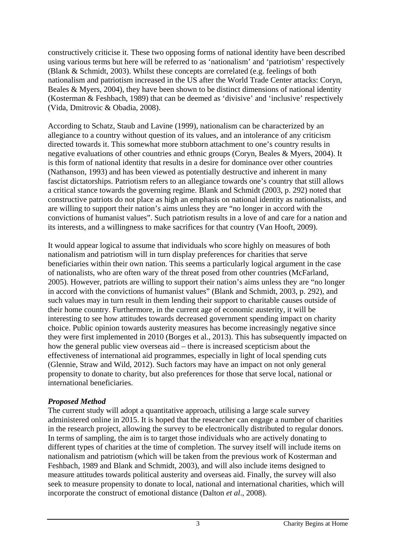constructively criticise it. These two opposing forms of national identity have been described using various terms but here will be referred to as 'nationalism' and 'patriotism' respectively (Blank & Schmidt, 2003). Whilst these concepts are correlated (e.g. feelings of both nationalism and patriotism increased in the US after the World Trade Center attacks: Coryn, Beales  $\&$  Myers, 2004), they have been shown to be distinct dimensions of national identity (Kosterman & Feshbach, 1989) that can be deemed as 'divisive' and 'inclusive' respectively (Vida, Dmitrovic & Obadia, 2008).

According to Schatz, Staub and Lavine (1999), nationalism can be characterized by an allegiance to a country without question of its values, and an intolerance of any criticism directed towards it. This somewhat more stubborn attachment to one's country results in negative evaluations of other countries and ethnic groups (Coryn, Beales & Myers, 2004). It is this form of national identity that results in a desire for dominance over other countries (Nathanson, 1993) and has been viewed as potentially destructive and inherent in many fascist dictatorships. Patriotism refers to an allegiance towards one's country that still allows a critical stance towards the governing regime. Blank and Schmidt (2003, p. 292) noted that constructive patriots do not place as high an emphasis on national identity as nationalists, and are willing to support their nation's aims unless they are "no longer in accord with the convictions of humanist values". Such patriotism results in a love of and care for a nation and its interests, and a willingness to make sacrifices for that country (Van Hooft, 2009).

It would appear logical to assume that individuals who score highly on measures of both nationalism and patriotism will in turn display preferences for charities that serve beneficiaries within their own nation. This seems a particularly logical argument in the case of nationalists, who are often wary of the threat posed from other countries (McFarland, 2005). However, patriots are willing to support their nation's aims unless they are "no longer in accord with the convictions of humanist values" (Blank and Schmidt, 2003, p. 292), and such values may in turn result in them lending their support to charitable causes outside of their home country. Furthermore, in the current age of economic austerity, it will be interesting to see how attitudes towards decreased government spending impact on charity choice. Public opinion towards austerity measures has become increasingly negative since they were first implemented in 2010 (Borges et al., 2013). This has subsequently impacted on how the general public view overseas aid – there is increased scepticism about the effectiveness of international aid programmes, especially in light of local spending cuts (Glennie, Straw and Wild, 2012). Such factors may have an impact on not only general propensity to donate to charity, but also preferences for those that serve local, national or international beneficiaries.

#### *Proposed Method*

The current study will adopt a quantitative approach, utilising a large scale survey administered online in 2015. It is hoped that the researcher can engage a number of charities in the research project, allowing the survey to be electronically distributed to regular donors. In terms of sampling, the aim is to target those individuals who are actively donating to different types of charities at the time of completion. The survey itself will include items on nationalism and patriotism (which will be taken from the previous work of Kosterman and Feshbach, 1989 and Blank and Schmidt, 2003), and will also include items designed to measure attitudes towards political austerity and overseas aid. Finally, the survey will also seek to measure propensity to donate to local, national and international charities, which will incorporate the construct of emotional distance (Dalton *et al*., 2008).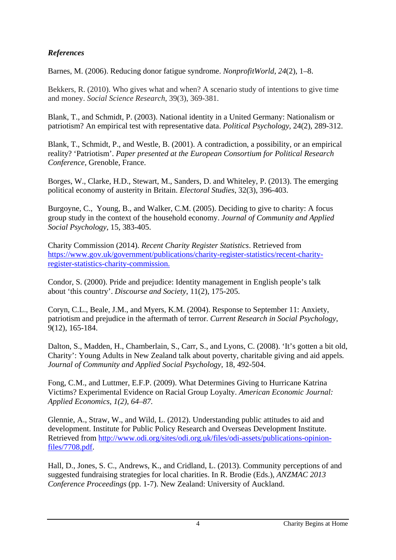## *References*

Barnes, M. (2006). Reducing donor fatigue syndrome. *NonprofitWorld*, *24*(2), 1–8.

Bekkers, R. (2010). Who gives what and when? A scenario study of intentions to give time and money. *Social Science Research*, 39(3), 369-381.

Blank, T., and Schmidt, P. (2003). National identity in a United Germany: Nationalism or patriotism? An empirical test with representative data. *Political Psychology*, 24(2), 289-312.

Blank, T., Schmidt, P., and Westle, B. (2001). A contradiction, a possibility, or an empirical reality? 'Patriotism'. *Paper presented at the European Consortium for Political Research Conference*, Grenoble, France.

Borges, W., Clarke, H.D., Stewart, M., Sanders, D. and Whiteley, P. (2013). The emerging political economy of austerity in Britain. *Electoral Studies*, 32(3), 396-403.

Burgoyne, C., Young, B., and Walker, C.M. (2005). Deciding to give to charity: A focus group study in the context of the household economy. *Journal of Community and Applied Social Psychology*, 15, 383-405.

Charity Commission (2014). *Recent Charity Register Statistics*. Retrieved from https://www.gov.uk/government/publications/charity-register-statistics/recent-charityregister-statistics-charity-commission.

Condor, S. (2000). Pride and prejudice: Identity management in English people's talk about 'this country'. *Discourse and Society*, 11(2), 175-205.

Coryn, C.L., Beale, J.M., and Myers, K.M. (2004). Response to September 11: Anxiety, patriotism and prejudice in the aftermath of terror. *Current Research in Social Psychology*, 9(12), 165-184.

Dalton, S., Madden, H., Chamberlain, S., Carr, S., and Lyons, C. (2008). 'It's gotten a bit old, Charity': Young Adults in New Zealand talk about poverty, charitable giving and aid appels*. Journal of Community and Applied Social Psychology*, 18, 492-504.

Fong, C.M., and Luttmer, E.F.P. (2009). What Determines Giving to Hurricane Katrina Victims? Experimental Evidence on Racial Group Loyalty. *American Economic Journal: Applied Economics, 1(2), 64–87.*

Glennie, A., Straw, W., and Wild, L. (2012). Understanding public attitudes to aid and development. Institute for Public Policy Research and Overseas Development Institute. Retrieved from http://www.odi.org/sites/odi.org.uk/files/odi-assets/publications-opinionfiles/7708.pdf.

Hall, D., Jones, S. C., Andrews, K., and Cridland, L. (2013). Community perceptions of and suggested fundraising strategies for local charities. In R. Brodie (Eds.), *ANZMAC 2013 Conference Proceedings* (pp. 1-7). New Zealand: University of Auckland.